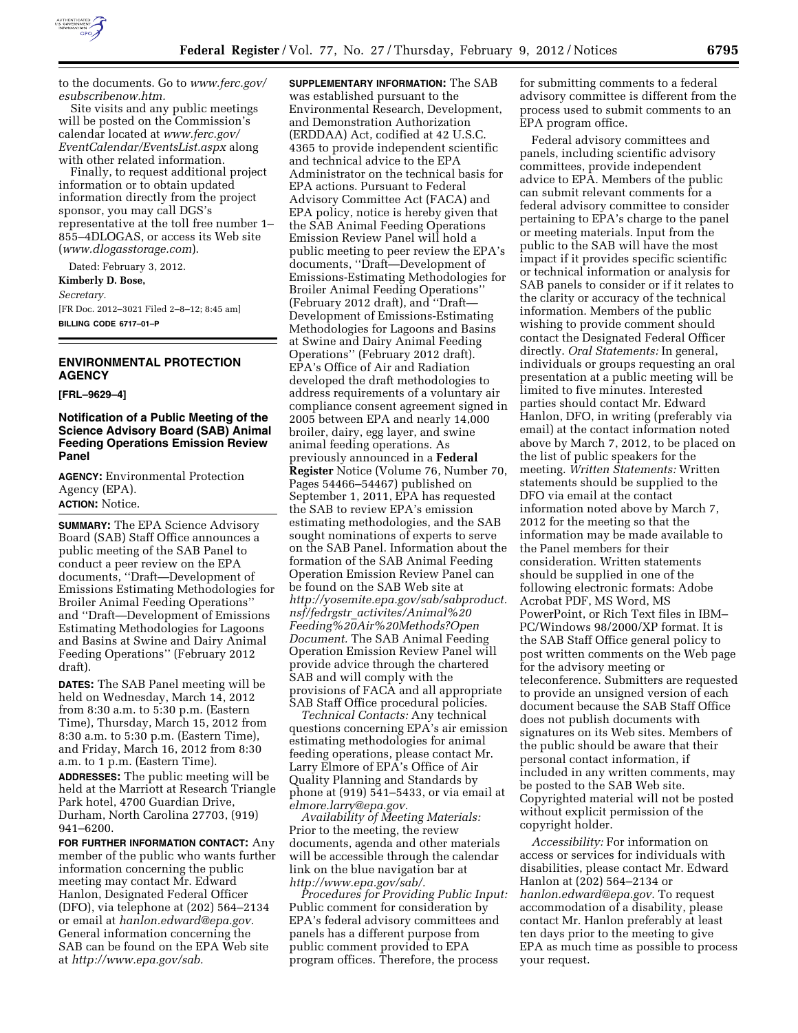

to the documents. Go to *[www.ferc.gov/](http://www.ferc.gov/esubscribenow.htm) [esubscribenow.htm.](http://www.ferc.gov/esubscribenow.htm)* 

Site visits and any public meetings will be posted on the Commission's calendar located at *[www.ferc.gov/](http://www.ferc.gov/EventCalendar/EventsList.aspx) [EventCalendar/EventsList.aspx](http://www.ferc.gov/EventCalendar/EventsList.aspx)* along with other related information.

Finally, to request additional project information or to obtain updated information directly from the project sponsor, you may call DGS's representative at the toll free number 1– 855–4DLOGAS, or access its Web site (*[www.dlogasstorage.com](http://www.dlogasstorage.com)*).

Dated: February 3, 2012.

**Kimberly D. Bose,** 

*Secretary.* 

[FR Doc. 2012–3021 Filed 2–8–12; 8:45 am] **BILLING CODE 6717–01–P** 

### **ENVIRONMENTAL PROTECTION AGENCY**

**[FRL–9629–4]** 

### **Notification of a Public Meeting of the Science Advisory Board (SAB) Animal Feeding Operations Emission Review Panel**

**AGENCY:** Environmental Protection Agency (EPA). **ACTION:** Notice.

**SUMMARY:** The EPA Science Advisory Board (SAB) Staff Office announces a public meeting of the SAB Panel to conduct a peer review on the EPA documents, ''Draft—Development of Emissions Estimating Methodologies for Broiler Animal Feeding Operations'' and ''Draft—Development of Emissions Estimating Methodologies for Lagoons and Basins at Swine and Dairy Animal Feeding Operations'' (February 2012 draft).

**DATES:** The SAB Panel meeting will be held on Wednesday, March 14, 2012 from 8:30 a.m. to 5:30 p.m. (Eastern Time), Thursday, March 15, 2012 from 8:30 a.m. to 5:30 p.m. (Eastern Time), and Friday, March 16, 2012 from 8:30 a.m. to 1 p.m. (Eastern Time). **ADDRESSES:** The public meeting will be held at the Marriott at Research Triangle Park hotel, 4700 Guardian Drive, Durham, North Carolina 27703, (919) 941–6200.

**FOR FURTHER INFORMATION CONTACT:** Any member of the public who wants further information concerning the public meeting may contact Mr. Edward Hanlon, Designated Federal Officer (DFO), via telephone at (202) 564–2134 or email at *[hanlon.edward@epa.gov.](mailto:hanlon.edward@epa.gov)*  General information concerning the SAB can be found on the EPA Web site at *[http://www.epa.gov/sab.](http://www.epa.gov/sab)* 

**SUPPLEMENTARY INFORMATION:** The SAB was established pursuant to the Environmental Research, Development, and Demonstration Authorization (ERDDAA) Act, codified at 42 U.S.C. 4365 to provide independent scientific and technical advice to the EPA Administrator on the technical basis for EPA actions. Pursuant to Federal Advisory Committee Act (FACA) and EPA policy, notice is hereby given that the SAB Animal Feeding Operations Emission Review Panel will hold a public meeting to peer review the EPA's documents, ''Draft—Development of Emissions-Estimating Methodologies for Broiler Animal Feeding Operations'' (February 2012 draft), and ''Draft— Development of Emissions-Estimating Methodologies for Lagoons and Basins at Swine and Dairy Animal Feeding Operations'' (February 2012 draft). EPA's Office of Air and Radiation developed the draft methodologies to address requirements of a voluntary air compliance consent agreement signed in 2005 between EPA and nearly 14,000 broiler, dairy, egg layer, and swine animal feeding operations. As previously announced in a **Federal Register** Notice (Volume 76, Number 70, Pages 54466–54467) published on September 1, 2011, EPA has requested the SAB to review EPA's emission estimating methodologies, and the SAB sought nominations of experts to serve on the SAB Panel. Information about the formation of the SAB Animal Feeding Operation Emission Review Panel can be found on the SAB Web site at *[http://yosemite.epa.gov/sab/sabproduct.](http://yosemite.epa.gov/sab/sabproduct.nsf/fedrgstr_activites/Animal%20Feeding%20Air%20Methods?OpenDocument) nsf/fedrgstr*\_*[activites/Animal%20](http://yosemite.epa.gov/sab/sabproduct.nsf/fedrgstr_activites/Animal%20Feeding%20Air%20Methods?OpenDocument) [Feeding%20Air%20Methods?Open](http://yosemite.epa.gov/sab/sabproduct.nsf/fedrgstr_activites/Animal%20Feeding%20Air%20Methods?OpenDocument) [Document.](http://yosemite.epa.gov/sab/sabproduct.nsf/fedrgstr_activites/Animal%20Feeding%20Air%20Methods?OpenDocument)* The SAB Animal Feeding Operation Emission Review Panel will provide advice through the chartered SAB and will comply with the provisions of FACA and all appropriate SAB Staff Office procedural policies.

*Technical Contacts:* Any technical questions concerning EPA's air emission estimating methodologies for animal feeding operations, please contact Mr. Larry Elmore of EPA's Office of Air Quality Planning and Standards by phone at (919) 541–5433, or via email at *[elmore.larry@epa.gov.](mailto:elmore.larry@epa.gov)* 

*Availability of Meeting Materials:*  Prior to the meeting, the review documents, agenda and other materials will be accessible through the calendar link on the blue navigation bar at *[http://www.epa.gov/sab/.](http://www.epa.gov/sab/)* 

*Procedures for Providing Public Input:*  Public comment for consideration by EPA's federal advisory committees and panels has a different purpose from public comment provided to EPA program offices. Therefore, the process

for submitting comments to a federal advisory committee is different from the process used to submit comments to an EPA program office.

Federal advisory committees and panels, including scientific advisory committees, provide independent advice to EPA. Members of the public can submit relevant comments for a federal advisory committee to consider pertaining to EPA's charge to the panel or meeting materials. Input from the public to the SAB will have the most impact if it provides specific scientific or technical information or analysis for SAB panels to consider or if it relates to the clarity or accuracy of the technical information. Members of the public wishing to provide comment should contact the Designated Federal Officer directly. *Oral Statements:* In general, individuals or groups requesting an oral presentation at a public meeting will be limited to five minutes. Interested parties should contact Mr. Edward Hanlon, DFO, in writing (preferably via email) at the contact information noted above by March 7, 2012, to be placed on the list of public speakers for the meeting. *Written Statements:* Written statements should be supplied to the DFO via email at the contact information noted above by March 7, 2012 for the meeting so that the information may be made available to the Panel members for their consideration. Written statements should be supplied in one of the following electronic formats: Adobe Acrobat PDF, MS Word, MS PowerPoint, or Rich Text files in IBM– PC/Windows 98/2000/XP format. It is the SAB Staff Office general policy to post written comments on the Web page for the advisory meeting or teleconference. Submitters are requested to provide an unsigned version of each document because the SAB Staff Office does not publish documents with signatures on its Web sites. Members of the public should be aware that their personal contact information, if included in any written comments, may be posted to the SAB Web site. Copyrighted material will not be posted without explicit permission of the copyright holder.

*Accessibility:* For information on access or services for individuals with disabilities, please contact Mr. Edward Hanlon at (202) 564–2134 or *[hanlon.edward@epa.gov.](mailto:hanlon.edward@epa.gov)* To request accommodation of a disability, please contact Mr. Hanlon preferably at least ten days prior to the meeting to give EPA as much time as possible to process your request.